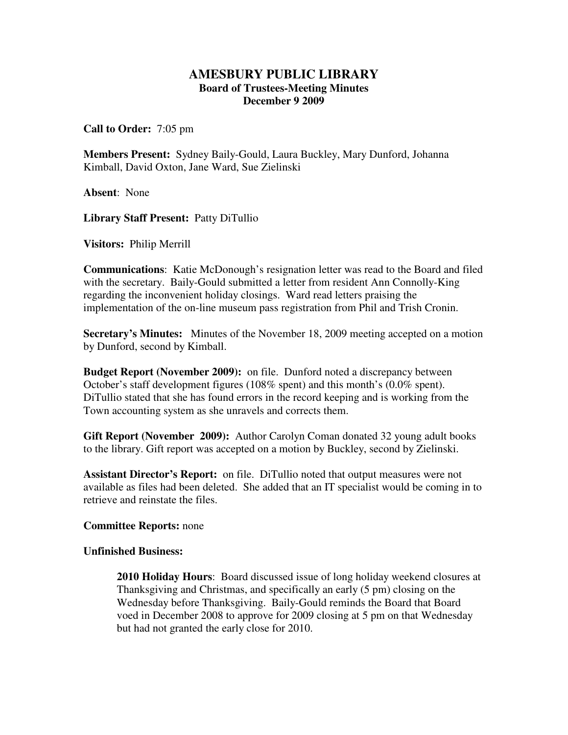## **AMESBURY PUBLIC LIBRARY Board of Trustees-Meeting Minutes December 9 2009**

**Call to Order:** 7:05 pm

**Members Present:** Sydney Baily-Gould, Laura Buckley, Mary Dunford, Johanna Kimball, David Oxton, Jane Ward, Sue Zielinski

**Absent**: None

**Library Staff Present:** Patty DiTullio

**Visitors:** Philip Merrill

**Communications**: Katie McDonough's resignation letter was read to the Board and filed with the secretary. Baily-Gould submitted a letter from resident Ann Connolly-King regarding the inconvenient holiday closings. Ward read letters praising the implementation of the on-line museum pass registration from Phil and Trish Cronin.

**Secretary's Minutes:** Minutes of the November 18, 2009 meeting accepted on a motion by Dunford, second by Kimball.

**Budget Report (November 2009):** on file. Dunford noted a discrepancy between October's staff development figures (108% spent) and this month's (0.0% spent). DiTullio stated that she has found errors in the record keeping and is working from the Town accounting system as she unravels and corrects them.

**Gift Report (November 2009):** Author Carolyn Coman donated 32 young adult books to the library. Gift report was accepted on a motion by Buckley, second by Zielinski.

**Assistant Director's Report:** on file. DiTullio noted that output measures were not available as files had been deleted. She added that an IT specialist would be coming in to retrieve and reinstate the files.

## **Committee Reports:** none

## **Unfinished Business:**

**2010 Holiday Hours**: Board discussed issue of long holiday weekend closures at Thanksgiving and Christmas, and specifically an early (5 pm) closing on the Wednesday before Thanksgiving. Baily-Gould reminds the Board that Board voed in December 2008 to approve for 2009 closing at 5 pm on that Wednesday but had not granted the early close for 2010.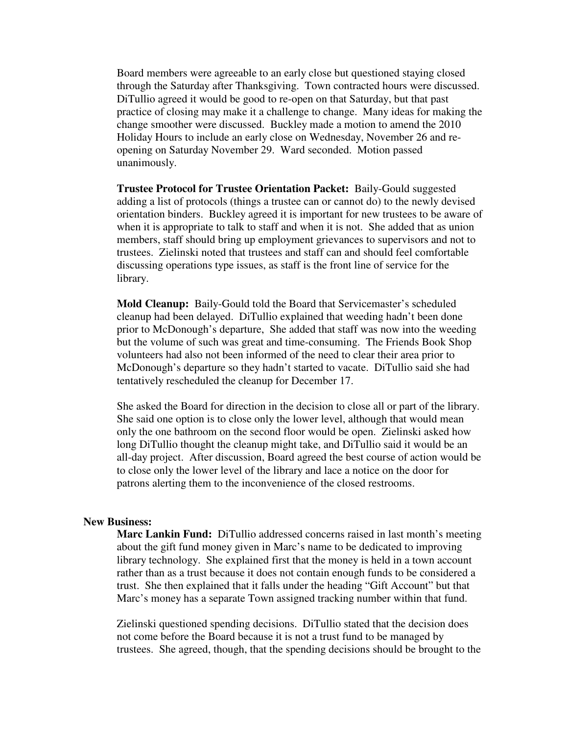Board members were agreeable to an early close but questioned staying closed through the Saturday after Thanksgiving. Town contracted hours were discussed. DiTullio agreed it would be good to re-open on that Saturday, but that past practice of closing may make it a challenge to change. Many ideas for making the change smoother were discussed. Buckley made a motion to amend the 2010 Holiday Hours to include an early close on Wednesday, November 26 and reopening on Saturday November 29. Ward seconded. Motion passed unanimously.

**Trustee Protocol for Trustee Orientation Packet:** Baily-Gould suggested adding a list of protocols (things a trustee can or cannot do) to the newly devised orientation binders. Buckley agreed it is important for new trustees to be aware of when it is appropriate to talk to staff and when it is not. She added that as union members, staff should bring up employment grievances to supervisors and not to trustees. Zielinski noted that trustees and staff can and should feel comfortable discussing operations type issues, as staff is the front line of service for the library.

**Mold Cleanup:** Baily-Gould told the Board that Servicemaster's scheduled cleanup had been delayed. DiTullio explained that weeding hadn't been done prior to McDonough's departure, She added that staff was now into the weeding but the volume of such was great and time-consuming. The Friends Book Shop volunteers had also not been informed of the need to clear their area prior to McDonough's departure so they hadn't started to vacate. DiTullio said she had tentatively rescheduled the cleanup for December 17.

She asked the Board for direction in the decision to close all or part of the library. She said one option is to close only the lower level, although that would mean only the one bathroom on the second floor would be open. Zielinski asked how long DiTullio thought the cleanup might take, and DiTullio said it would be an all-day project. After discussion, Board agreed the best course of action would be to close only the lower level of the library and lace a notice on the door for patrons alerting them to the inconvenience of the closed restrooms.

## **New Business:**

**Marc Lankin Fund:** DiTullio addressed concerns raised in last month's meeting about the gift fund money given in Marc's name to be dedicated to improving library technology. She explained first that the money is held in a town account rather than as a trust because it does not contain enough funds to be considered a trust. She then explained that it falls under the heading "Gift Account" but that Marc's money has a separate Town assigned tracking number within that fund.

Zielinski questioned spending decisions. DiTullio stated that the decision does not come before the Board because it is not a trust fund to be managed by trustees. She agreed, though, that the spending decisions should be brought to the